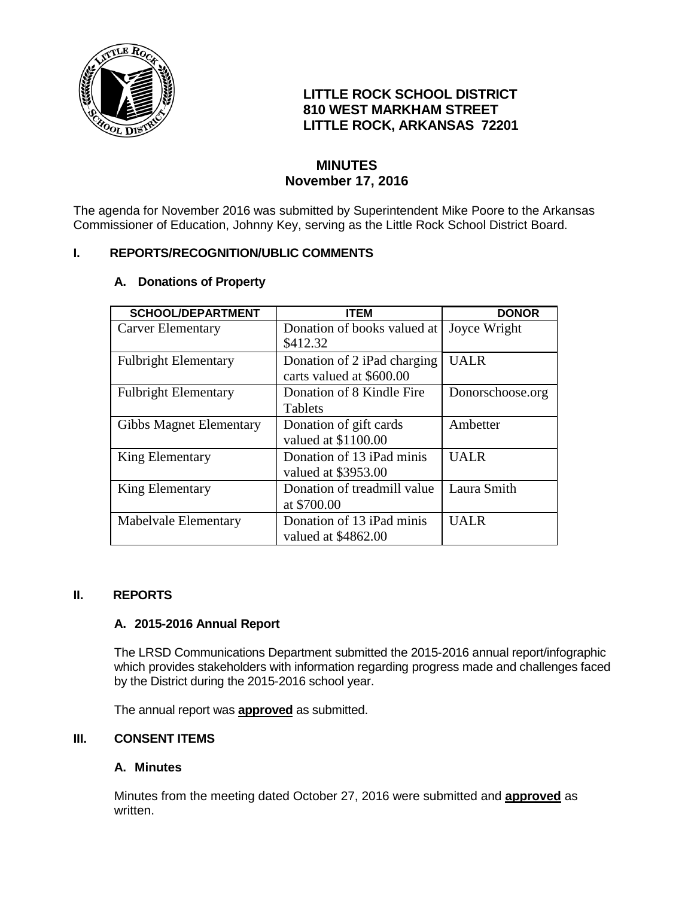

# **LITTLE ROCK SCHOOL DISTRICT 810 WEST MARKHAM STREET LITTLE ROCK, ARKANSAS 72201**

# **MINUTES November 17, 2016**

The agenda for November 2016 was submitted by Superintendent Mike Poore to the Arkansas Commissioner of Education, Johnny Key, serving as the Little Rock School District Board.

## **I. REPORTS/RECOGNITION/UBLIC COMMENTS**

## **A. Donations of Property**

| <b>SCHOOL/DEPARTMENT</b>       | <b>ITEM</b>                 | <b>DONOR</b>     |
|--------------------------------|-----------------------------|------------------|
| <b>Carver Elementary</b>       | Donation of books valued at | Joyce Wright     |
|                                | \$412.32                    |                  |
| <b>Fulbright Elementary</b>    | Donation of 2 iPad charging | <b>UALR</b>      |
|                                | carts valued at \$600.00    |                  |
| <b>Fulbright Elementary</b>    | Donation of 8 Kindle Fire   | Donorschoose.org |
|                                | Tablets                     |                  |
| <b>Gibbs Magnet Elementary</b> | Donation of gift cards      | Ambetter         |
|                                | valued at \$1100.00         |                  |
| <b>King Elementary</b>         | Donation of 13 iPad minis   | <b>UALR</b>      |
|                                | valued at \$3953.00         |                  |
| King Elementary                | Donation of treadmill value | Laura Smith      |
|                                | at \$700.00                 |                  |
| Mabelvale Elementary           | Donation of 13 iPad minis   | <b>UALR</b>      |
|                                | valued at \$4862.00         |                  |

## **II. REPORTS**

## **A. 2015-2016 Annual Report**

The LRSD Communications Department submitted the 2015-2016 annual report/infographic which provides stakeholders with information regarding progress made and challenges faced by the District during the 2015-2016 school year.

The annual report was **approved** as submitted.

## **III. CONSENT ITEMS**

## **A. Minutes**

Minutes from the meeting dated October 27, 2016 were submitted and **approved** as written.